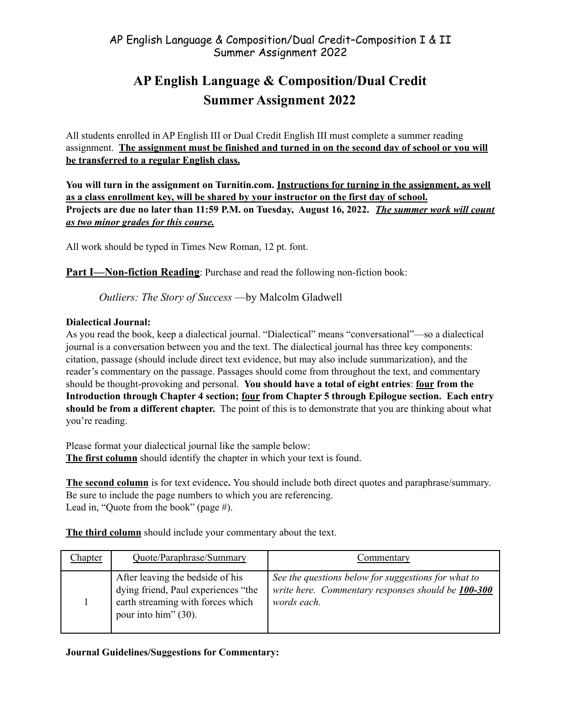# **AP English Language & Composition/Dual Credit Summer Assignment 2022**

All students enrolled in AP English III or Dual Credit English III must complete a summer reading assignment. **The assignment must be finished and turned in on the second day of school or you will be transferred to a regular English class.**

**You will turn in the assignment on Turnitin.com. Instructions for turning in the assignment, as well as a class enrollment key, will be shared by your instructor on the first day of school. Projects are due no later than 11:59 P.M. on Tuesday, August 16, 2022.** *The summer work will count as two minor grades for this course.*

All work should be typed in Times New Roman, 12 pt. font.

**Part I—Non-fiction Reading**: Purchase and read the following non-fiction book:

*Outliers: The Story of Success* —by Malcolm Gladwell

## **Dialectical Journal:**

As you read the book, keep a dialectical journal. "Dialectical" means "conversational"—so a dialectical journal is a conversation between you and the text. The dialectical journal has three key components: citation, passage (should include direct text evidence, but may also include summarization), and the reader's commentary on the passage. Passages should come from throughout the text, and commentary should be thought-provoking and personal. **You should have a total of eight entries**: **four from the Introduction through Chapter 4 section; four from Chapter 5 through Epilogue section. Each entry should be from a different chapter.** The point of this is to demonstrate that you are thinking about what you're reading.

Please format your dialectical journal like the sample below: **The first column** should identify the chapter in which your text is found.

**The second column** is for text evidence**.** You should include both direct quotes and paraphrase/summary. Be sure to include the page numbers to which you are referencing. Lead in, "Quote from the book" (page #).

**The third column** should include your commentary about the text.

| Chapter | Quote/Paraphrase/Summary                                                                                                             | Commentary                                                                                                               |
|---------|--------------------------------------------------------------------------------------------------------------------------------------|--------------------------------------------------------------------------------------------------------------------------|
|         | After leaving the bedside of his<br>dying friend, Paul experiences "the<br>earth streaming with forces which<br>pour into him" (30). | See the questions below for suggestions for what to<br>write here. Commentary responses should be 100-300<br>words each. |

**Journal Guidelines/Suggestions for Commentary:**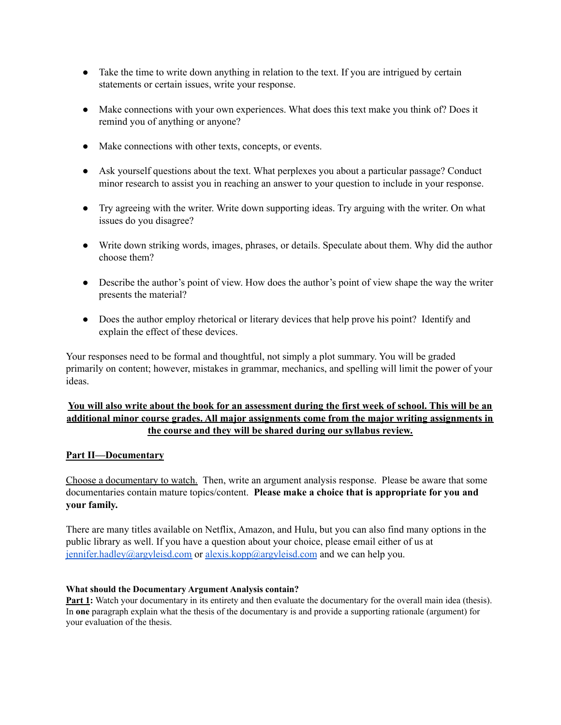- Take the time to write down anything in relation to the text. If you are intrigued by certain statements or certain issues, write your response.
- Make connections with your own experiences. What does this text make you think of? Does it remind you of anything or anyone?
- Make connections with other texts, concepts, or events.
- Ask yourself questions about the text. What perplexes you about a particular passage? Conduct minor research to assist you in reaching an answer to your question to include in your response.
- Try agreeing with the writer. Write down supporting ideas. Try arguing with the writer. On what issues do you disagree?
- Write down striking words, images, phrases, or details. Speculate about them. Why did the author choose them?
- Describe the author's point of view. How does the author's point of view shape the way the writer presents the material?
- Does the author employ rhetorical or literary devices that help prove his point? Identify and explain the effect of these devices.

Your responses need to be formal and thoughtful, not simply a plot summary. You will be graded primarily on content; however, mistakes in grammar, mechanics, and spelling will limit the power of your ideas.

## You will also write about the book for an assessment during the first week of school. This will be an **additional minor course grades. All major assignments come from the major writing assignments in the course and they will be shared during our syllabus review.**

## **Part II—Documentary**

Choose a documentary to watch. Then, write an argument analysis response. Please be aware that some documentaries contain mature topics/content. **Please make a choice that is appropriate for you and your family.**

There are many titles available on Netflix, Amazon, and Hulu, but you can also find many options in the public library as well. If you have a question about your choice, please email either of us at [jennifer.hadley@argyleisd.com](mailto:jennifer.hadley@argyleisd.com) or [alexis.kopp@argyleisd.com](mailto:akopp@argyleisd.com) and we can help you.

## **What should the Documentary Argument Analysis contain?**

**Part 1:** Watch your documentary in its entirety and then evaluate the documentary for the overall main idea (thesis). In **one** paragraph explain what the thesis of the documentary is and provide a supporting rationale (argument) for your evaluation of the thesis.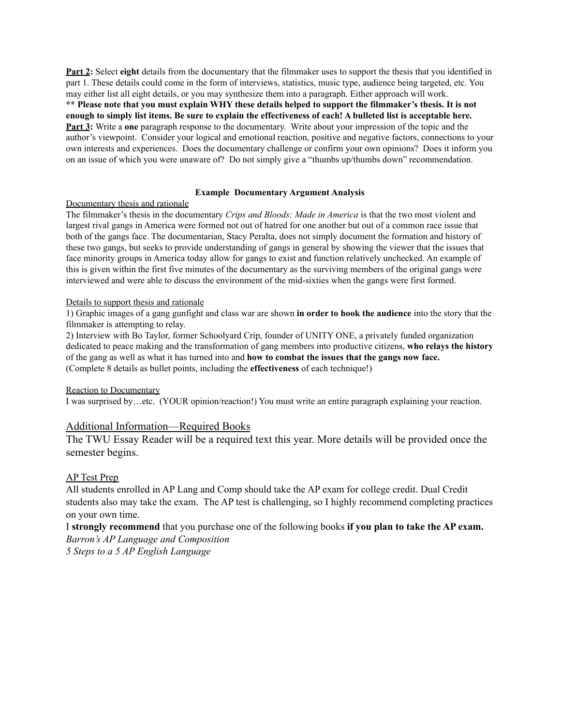**Part 2:** Select **eight** details from the documentary that the filmmaker uses to support the thesis that you identified in part 1. These details could come in the form of interviews, statistics, music type, audience being targeted, etc. You may either list all eight details, or you may synthesize them into a paragraph. Either approach will work. \*\* Please note that you must explain WHY these details helped to support the filmmaker's thesis. It is not enough to simply list items. Be sure to explain the effectiveness of each! A bulleted list is acceptable here. **Part 3:** Write a **one** paragraph response to the documentary. Write about your impression of the topic and the author's viewpoint. Consider your logical and emotional reaction, positive and negative factors, connections to your own interests and experiences. Does the documentary challenge or confirm your own opinions? Does it inform you on an issue of which you were unaware of? Do not simply give a "thumbs up/thumbs down" recommendation.

#### **Example Documentary Argument Analysis**

#### Documentary thesis and rationale

The filmmaker's thesis in the documentary *Crips and Bloods: Made in America* is that the two most violent and largest rival gangs in America were formed not out of hatred for one another but out of a common race issue that both of the gangs face. The documentarian, Stacy Peralta, does not simply document the formation and history of these two gangs, but seeks to provide understanding of gangs in general by showing the viewer that the issues that face minority groups in America today allow for gangs to exist and function relatively unchecked. An example of this is given within the first five minutes of the documentary as the surviving members of the original gangs were interviewed and were able to discuss the environment of the mid-sixties when the gangs were first formed.

#### Details to support thesis and rationale

1) Graphic images of a gang gunfight and class war are shown **in order to hook the audience** into the story that the filmmaker is attempting to relay.

2) Interview with Bo Taylor, former Schoolyard Crip, founder of UNITY ONE, a privately funded organization dedicated to peace making and the transformation of gang members into productive citizens, **who relays the history** of the gang as well as what it has turned into and **how to combat the issues that the gangs now face.** (Complete 8 details as bullet points, including the **effectiveness** of each technique!)

#### Reaction to Documentary

I was surprised by…etc. (YOUR opinion/reaction!) You must write an entire paragraph explaining your reaction.

#### Additional Information—Required Books

The TWU Essay Reader will be a required text this year. More details will be provided once the semester begins.

### AP Test Prep

All students enrolled in AP Lang and Comp should take the AP exam for college credit. Dual Credit students also may take the exam. The AP test is challenging, so I highly recommend completing practices on your own time.

I **strongly recommend** that you purchase one of the following books **if you plan to take the AP exam.** *Barron's AP Language and Composition*

*5 Steps to a 5 AP English Language*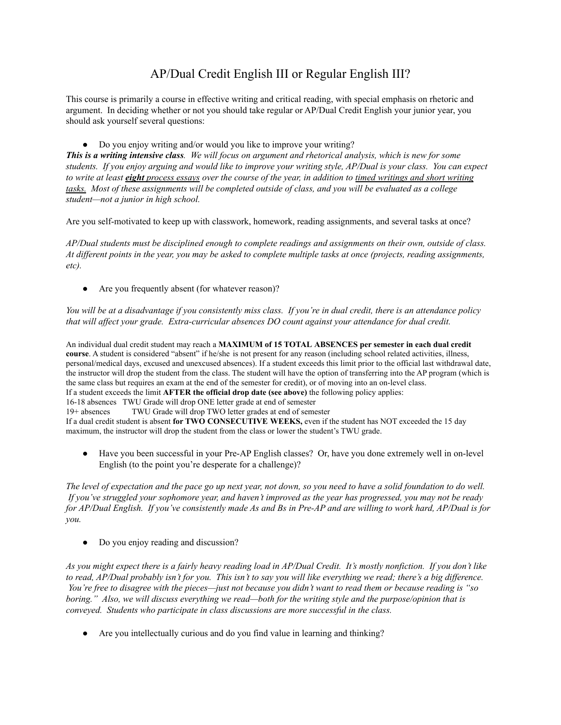## AP/Dual Credit English III or Regular English III?

This course is primarily a course in effective writing and critical reading, with special emphasis on rhetoric and argument. In deciding whether or not you should take regular or AP/Dual Credit English your junior year, you should ask yourself several questions:

• Do you enjoy writing and/or would you like to improve your writing?

This is a writing intensive class. We will focus on argument and rhetorical analysis, which is new for some students. If you enjoy arguing and would like to improve your writing style, AP/Dual is your class. You can expect to write at least eight process essays over the course of the year, in addition to timed writings and short writing tasks. Most of these assignments will be completed outside of class, and you will be evaluated as a college *student—not a junior in high school.*

Are you self-motivated to keep up with classwork, homework, reading assignments, and several tasks at once?

AP/Dual students must be disciplined enough to complete readings and assignments on their own, outside of class. At different points in the year, you may be asked to complete multiple tasks at once (projects, reading assignments, *etc).*

• Are you frequently absent (for whatever reason)?

You will be at a disadvantage if you consistently miss class. If you're in dual credit, there is an attendance policy *that will af ect your grade. Extra-curricular absences DO count against your attendance for dual credit.*

An individual dual credit student may reach a **MAXIMUM of 15 TOTAL ABSENCES per semester in each dual credit course**. A student is considered "absent" if he/she is not present for any reason (including school related activities, illness, personal/medical days, excused and unexcused absences). If a student exceeds this limit prior to the official last withdrawal date, the instructor will drop the student from the class. The student will have the option of transferring into the AP program (which is the same class but requires an exam at the end of the semester for credit), or of moving into an on-level class. If a student exceeds the limit **AFTER the official drop date (see above)** the following policy applies: 16-18 absences TWU Grade will drop ONE letter grade at end of semester 19+ absences TWU Grade will drop TWO letter grades at end of semester

If a dual credit student is absent **for TWO CONSECUTIVE WEEKS,** even if the student has NOT exceeded the 15 day maximum, the instructor will drop the student from the class or lower the student's TWU grade.

• Have you been successful in your Pre-AP English classes? Or, have you done extremely well in on-level English (to the point you're desperate for a challenge)?

The level of expectation and the pace go up next year, not down, so you need to have a solid foundation to do well. If you've struggled your sophomore year, and haven't improved as the year has progressed, you may not be ready for AP/Dual English. If you've consistently made As and Bs in Pre-AP and are willing to work hard, AP/Dual is for *you.*

• Do you enjoy reading and discussion?

As you might expect there is a fairly heavy reading load in AP/Dual Credit. It's mostly nonfiction. If you don't like to read, AP/Dual probably isn't for you. This isn't to say you will like everything we read; there's a big difference. You're free to disagree with the pieces—just not because you didn't want to read them or because reading is "so boring." Also, we will discuss everything we read—both for the writing style and the purpose/opinion that is *conveyed. Students who participate in class discussions are more successful in the class.*

● Are you intellectually curious and do you find value in learning and thinking?